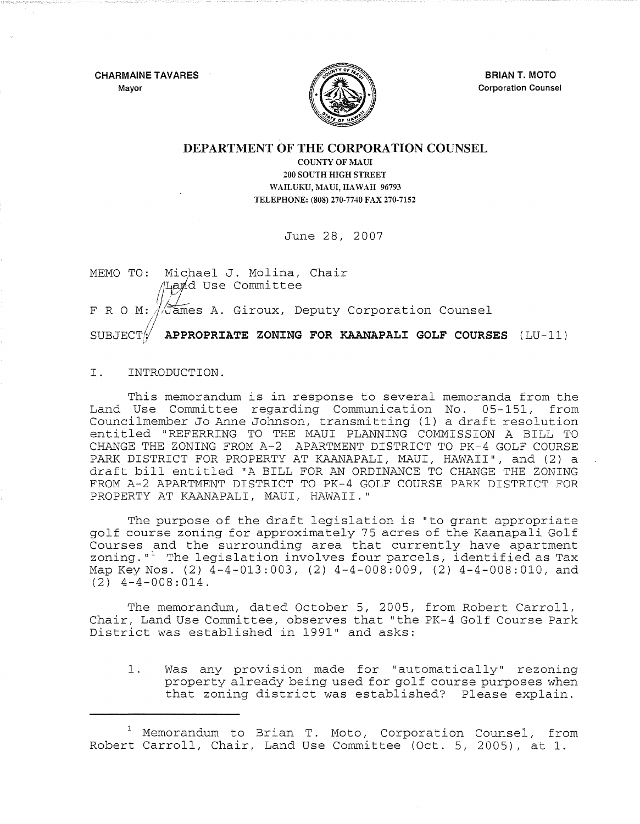CHARMAINE TAVARES Mayor



BRIAN T. MOTO Corporation Counsel

## DEPARTMENT OF THE CORPORATION COUNSEL

COUNTY OF MAUl 200 SOUTH HIGH STREET WAILUKU, MAUI, HAWAII 96793 TELEPHONE: (808) 270·7740 FAX 270·7152

June 28, 2007

MEMO TO: Michael J. Molina, Chair  $4$ La $\tt nd$  Use Committee F R O M: //James A. Giroux, Deputy Corporation Counsel SUBJECT $\sqrt{\phantom{a}}$  APPROPRIATE ZONING FOR KAANAPALI GOLF COURSES (LU-11)

I. INTRODUCTION.

This memorandum is in response to several memoranda from the Land Use Committee regarding Communication No. 05-151, from Councilmember Jo Anne Johnson, transmitting (1) a draft resolution entitled "REFERRING TO THE MAUI PLANNING COMMISSION A BILL TO CHANGE THE ZONING FROM A-2 APARTMENT DISTRICT TO PK-4 GOLF COURSE PARK DISTRICT FOR PROPERTY AT KAANAPALI, MAUI, HAWAII", and (2) a draft bill entitled "A BILL FOR AN ORDINANCE TO CHANGE THE ZONING FROM A-2 APARTMENT DISTRICT TO PK-4 GOLF COURSE PARK DISTRICT FOR PROPERTY AT KAANAPALI, MAUI, HAWAII."

The purpose of the draft legislation is "to grant appropriate golf course zoning for approximately 75 acres of the Kaanapali Golf Courses and the surrounding area that currently have apartment zoning. $"$  The legislation involves four parcels, identified as Tax Map Key Nos. (2)  $\overline{4-4-013:003}$ , (2)  $4-4-008:009$ , (2)  $4-4-008:010$ , and  $(2)$  4-4-008:014.

The memorandum, dated October 5, 2005, from Robert Carroll, Chair, Land Use Committee, observes that "the PK-4 Golf Course Park District was established in 1991" and asks:

1. Was any provision made for "automatically" rezoning property already being used for golf course purposes when that zoning district was established? Please explain.

<sup>&</sup>lt;sup>1</sup> Memorandum to Brian T. Moto, Corporation Counsel, from Robert Carroll, Chair, Land Use Committee (Oct. 5, 2005), at 1.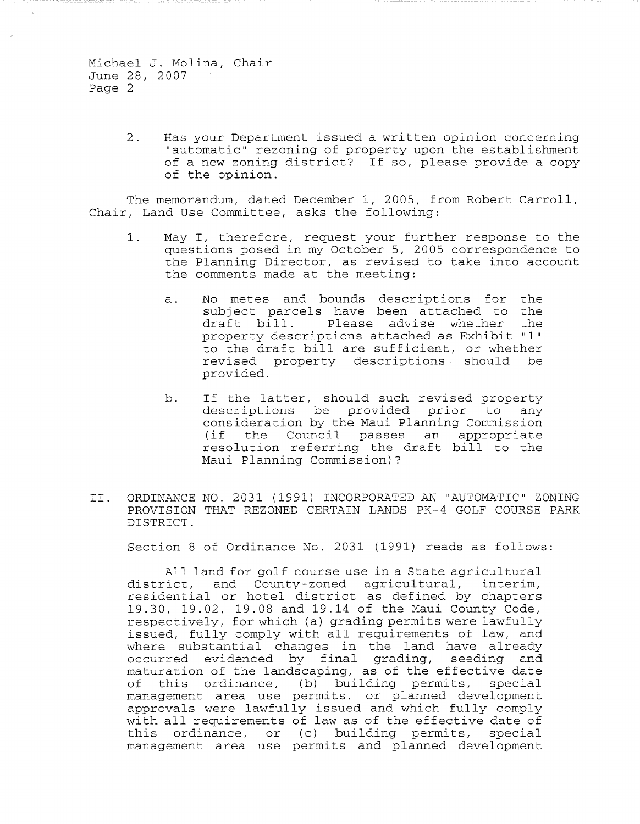> 2. Has your Department issued a written opinion concerning "automatic" rezoning of property upon the establishment of a new zoning district? If so, please provide a copy of the opinion.

The memorandum, dated December 1, 2005, from Robert Carroll, Chair, Land Use Committee, asks the following:

- 1. May I, therefore, request your further response to the questions posed in my October 5, 2005 correspondence to the Planning Director, as revised to take into account the comments made at the meeting:
	- a. No metes and bounds descriptions for the subject parcels have been attached to the<br>draft bill. Please advise whether the Please advise whether the property descriptions attached as Exhibit "1" to the draft bill are sufficient, or whether revised property descriptions should be provided.
	- b. If the latter, should such revised property descriptions be provided prior to any consideration by the Maui Planning Commission Council passes an appropriate resolution referring the draft bill to the Maui Planning Commission)?
- II. ORDINANCE NO. 2031 (1991) INCORPORATED AN "AUTOMATIC" ZONING PROVISION THAT REZONED CERTAIN LANDS PK-4 GOLF COURSE PARK DISTRICT.

Section 8 of Ordinance No. 2031 (1991) reads as follows:

All land for golf course use in a State agricultural district, and County-zoned agricultural, interim, residential or hotel district as defined by chapters 19.30, 19.02, 19.08 and 19.14 of the Maui County Code, respectively, for which (a) grading permits were lawfully issued, fully comply with all requirements of law, and where substantial changes in the land have already occurred evidenced by final grading, seeding and maturation of the landscaping, as of the effective date<br>of this ordinance, (b) building permits, special this ordinance, (b) building permits, special management area use permits, or planned development approvals were lawfully issued and which fully comply approvais were fawfully issued and which fully comply<br>with all requirements of law as of the effective date of this ordinance, or (c) building permits, special management area use permits and planned development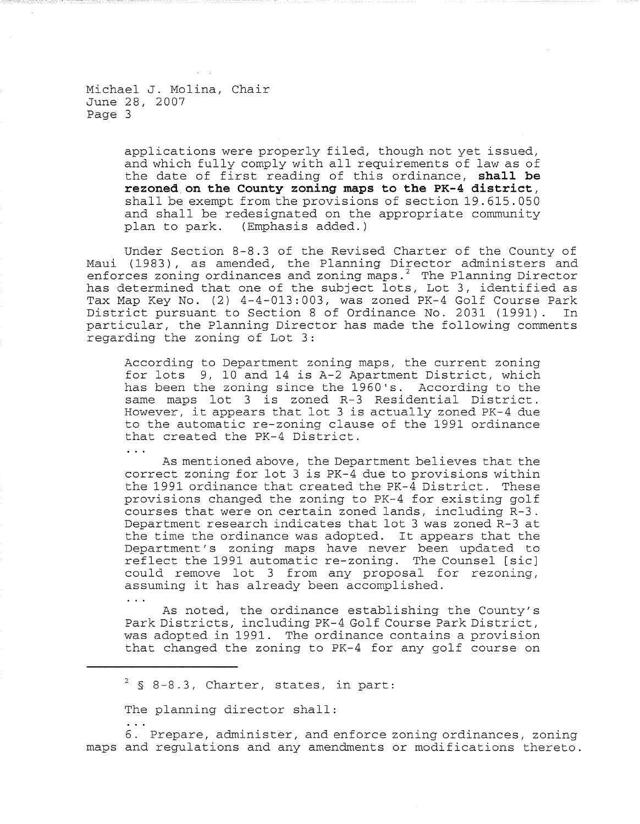> applications were properly filed, though not yet issued, and which fully comply wi th all requirements of law as of the date of first reading of this ordinance, **shall be rezoned on the County zoning maps to the PK-4 district,**  shall be exempt from the provisions of section 19.615.050 and shall be redesignated on the appropriate community<br>plan to park. (Emphasis added.) (Emphasis added.)

Under Section 8-8.3 of the Revised Charter of the County of Maui (1983), as amended, the Planning Director administers and enforces zoning ordinances and zoning maps.<sup>2</sup> The Planning Director has determined that one of the subject lots, Lot 3, identified as Tax Map Key No. (2) 4-4-013:003, was zoned PK-4 Golf Course Park<br>District pursuant to Section 8 of Ordinance No. 2031 (1991). In District pursuant to Section 8 of Ordinance No. 2031 (1991). particular, the Planning Director has made the following comments regarding the zoning of Lot **3:** 

According to Department zoning maps, the current zoning for lots 9, 10 and 14 is A-2 Apartment District, which has been the zoning since the 1960's. According to the same maps lot 3 is zoned R-3 Residential District. However, it appears that lot 3 is actually zoned PK-4 due to the automatic re-zoning clause of the 1991 ordinance that created the PK-4 District.

 $\mathbf{r}$ 

As mentioned above, the Department believes that the correct zoning for lot 3 is PK-4 due to provisions within the 1991 ordinance that created the PK-4 District. These provisions changed the zoning to PK-4 for existing golf courses that were on certain zoned lands, including R-3. Department research indicates that lot 3 was zoned R-3 at the time the ordinance was adopted. It appears that the Department's zoning maps have never been updated to reflect the 1991 automatic re-zoning. The Counsel [sic] could remove lot 3 from any proposal for rezoning, assuming it has already been accomplished.

As noted, the ordinance establishing the County's Park Districts, including PK-4 Golf Course Park District, was adopted in 1991. The ordinance contains a provision that changed the zoning to PK-4 for any golf course on

 $2$  § 8-8.3, Charter, states, in part:

The planning director shall:

6. Prepare, administer, and enforce zoning ordinances, zoning maps and regulations and any amendments or modifications thereto.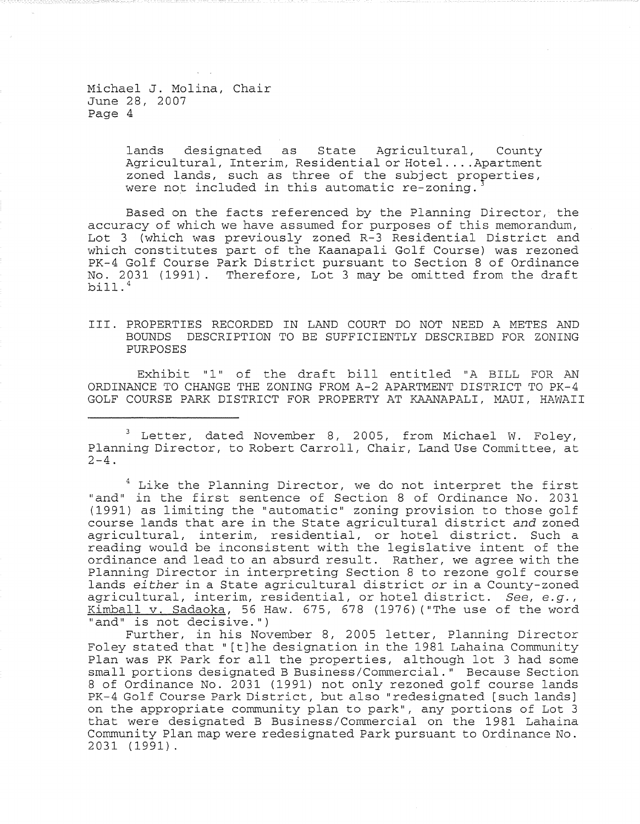> lands designated as State Agricultural, County Agricul tural, Interim, Residential or Hotel .... Apartment zoned lands, such as three of the subject properties, were not included in this automatic re-zoning.

Based on the facts referenced by the Planning Director, the accuracy of which we have assumed for purposes of this memorandum, Lot 3 (which was previously zoned R-3 Residential District and which constitutes part of the Kaanapali Golf Course) was rezoned PK-4 Golf Course Park District pursuant to Section 8 of Ordinance No. 2031 (1991). Therefore, Lot 3 may be omitted from the draft bill.4

## III. PROPERTIES RECORDED IN LAND COURT DO NOT NEED A METES AND BOUNDS DESCRIPTION TO BE SUFFICIENTLY DESCRIBED FOR ZONING PURPOSES

Exhibit "1" of the draft bill entitled "A BILL FOR AN ORDINANCE TO CHANGE THE ZONING FROM A-2 APARTMENT DISTRICT TO PK-4 GOLF COURSE PARK DISTRICT FOR PROPERTY AT KAANAPALI, MAUl, HAWAII

 $3$  Letter, dated November 8, 2005, from Michael W. Foley, Planning Director, to Robert Carroll, Chair, Land Use Committee, at  $2-4$ .

 $4$  Like the Planning Director, we do not interpret the first "and" in the first sentence of Section 8 of Ordinance No. 2031 (1991) as limiting the "automatic" zoning provision to those golf course lands that are in the State agricultural district *and* zoned agricultural, interim, residential, or hotel district. Such a reading would be inconsistent with the legislative intent of the ordinance and lead to an absurd result. Rather, we agree with the Planning Director in interpreting Section 8 to rezone golf course lands *either* in a State agricultural district or in a County-zoned agricultural, interim, residential, or hotel district. *See, e.g.,*  Kimball v. Sadaoka, 56 Haw. 675, 678 (1976) ("The use of the word "and" is not decisive.")

Further, in his November 8, 2005 letter, Planning Director Foley stated that" [t]he designation in the 1981 Lahaina Community plan was PK Park for all the properties, although lot 3 had some small portions designated B Business/Commercial." Because Section 8 of Ordinance No. 2031 (1991) not only rezoned golf course lands PK-4 Golf Course Park District, but also "redesignated [such lands] on the appropriate community plan to park", any portions of Lot 3 that were designated B Business/Commercial on the 1981 Lahaina Communi ty Plan map were redesignated Park pursuant to Ordinance No. 2031 (1991).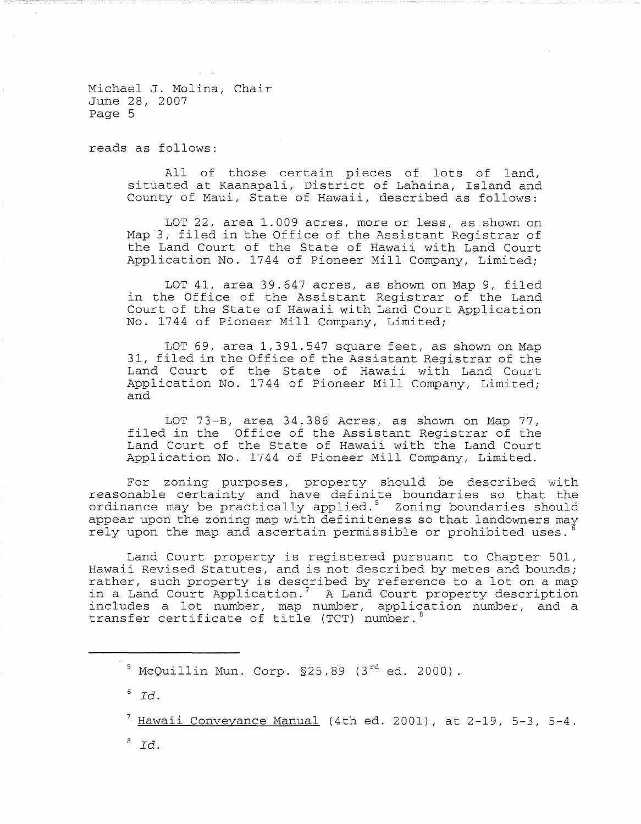reads as follows:

All of those certain pieces of lots of land, situated at Kaanapali, District of Lahaina, Island and County of Maui, State of Hawaii, described as follows:

LOT 22, area 1.009 acres, more or less, as shown on Map 3, filed in the Office of the Assistant Registrar of the Land Court of the State of Hawaii with Land Court Application No. 1744 of Pioneer Mill Company, Limited;

LOT 41, area 39.647 acres, as shown on Map 9, filed in the Office of the Assistant Registrar of the Land Court of the State of Hawaii with Land Court Application No. 1744 of Pioneer Mill Company, Limited;

LOT 69, area 1,391.547 square feet, as shown on Map 31, filed in the Office of the Assistant Registrar of the Land Court of the State of Hawaii with Land Court Application No. 1744 of Pioneer Mill Company, Limited; and

LOT 73-B, area 34.386 Acres, as shown on Map 77, filed in the Office of the Assistant Registrar of the Land Court of the State of Hawaii with the Land Court Application No. 1744 of Pioneer Mill Company, Limited.

For zoning purposes, property should be described with reasonable certainty and have definite boundaries so that the ordinance may be practically applied. $5$  Zoning boundaries should appear upon the zoning map with definiteness so that landowners may rely upon the map and ascertain permissible or prohibited uses.

Land Court property is registered pursuant to Chapter 501, Hawaii Revised Statutes, and is not described by metes and bounds; rather, such property is described by reference to a lot on a map in a Land Court Application.' A Land Court property description includes a lot number, map number, application number, and a transfer certificate of title (TCT) number. $\frac{1}{2}$ 

 $^7$  Hawaii Conveyance Manual (4th ed. 2001), at 2-19, 5-3, 5-4.

*8 Id.* 

 $^5$  McOuillin Mun. Corp. §25.89 (3 $^{\text{rd}}$  ed. 2000).

 $6 \overline{Id}$ .